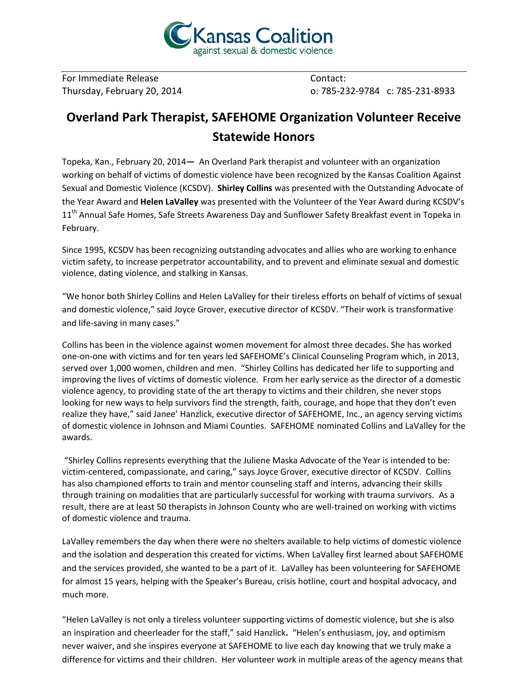

For Immediate Release **Contact:** 

Thursday, February 20, 2014 o: 785-232-9784 c: 785-231-8933

## **Overland Park Therapist, SAFEHOME Organization Volunteer Receive Statewide Honors**

Topeka, Kan., February 20, 2014**—** An Overland Park therapist and volunteer with an organization working on behalf of victims of domestic violence have been recognized by the Kansas Coalition Against Sexual and Domestic Violence (KCSDV). **Shirley Collins** was presented with the Outstanding Advocate of the Year Award and **Helen LaValley** was presented with the Volunteer of the Year Award during KCSDV's 11<sup>th</sup> Annual Safe Homes, Safe Streets Awareness Day and Sunflower Safety Breakfast event in Topeka in February.

Since 1995, KCSDV has been recognizing outstanding advocates and allies who are working to enhance victim safety, to increase perpetrator accountability, and to prevent and eliminate sexual and domestic violence, dating violence, and stalking in Kansas.

"We honor both Shirley Collins and Helen LaValley for their tireless efforts on behalf of victims of sexual and domestic violence," said Joyce Grover, executive director of KCSDV. "Their work is transformative and life-saving in many cases."

Collins has been in the violence against women movement for almost three decades. She has worked one-on-one with victims and for ten years led SAFEHOME's Clinical Counseling Program which, in 2013, served over 1,000 women, children and men. "Shirley Collins has dedicated her life to supporting and improving the lives of victims of domestic violence. From her early service as the director of a domestic violence agency, to providing state of the art therapy to victims and their children, she never stops looking for new ways to help survivors find the strength, faith, courage, and hope that they don't even realize they have," said Janee' Hanzlick, executive director of SAFEHOME, Inc., an agency serving victims of domestic violence in Johnson and Miami Counties. SAFEHOME nominated Collins and LaValley for the awards.

"Shirley Collins represents everything that the Juliene Maska Advocate of the Year is intended to be: victim-centered, compassionate, and caring," says Joyce Grover, executive director of KCSDV. Collins has also championed efforts to train and mentor counseling staff and interns, advancing their skills through training on modalities that are particularly successful for working with trauma survivors. As a result, there are at least 50 therapists in Johnson County who are well-trained on working with victims of domestic violence and trauma.

LaValley remembers the day when there were no shelters available to help victims of domestic violence and the isolation and desperation this created for victims. When LaValley first learned about SAFEHOME and the services provided, she wanted to be a part of it. LaValley has been volunteering for SAFEHOME for almost 15 years, helping with the Speaker's Bureau, crisis hotline, court and hospital advocacy, and much more.

"Helen LaValley is not only a tireless volunteer supporting victims of domestic violence, but she is also an inspiration and cheerleader for the staff," said Hanzlick**.** "Helen's enthusiasm, joy, and optimism never waiver, and she inspires everyone at SAFEHOME to live each day knowing that we truly make a difference for victims and their children. Her volunteer work in multiple areas of the agency means that